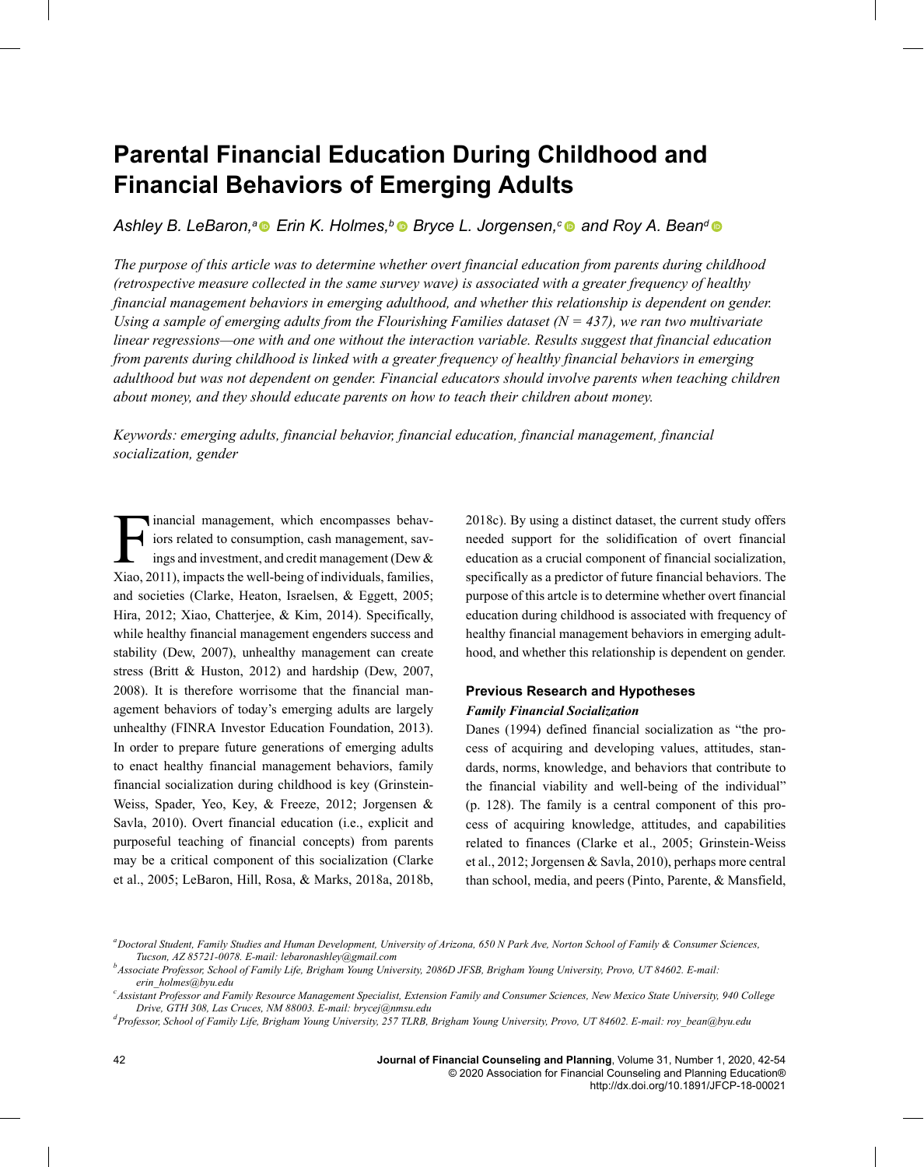# **Parental Financial Education During Childhood and Financial Behaviors of Emerging Adults**

Ashley B. LeBaron,<sup>a</sup> ■ Erin K. Holmes,<sup>*b*</sup> ■ Bryce L. Jorgensen,<sup>*c*</sup> ■ and Roy A. Bean<sup>d</sup>

*The purpose of this article was to determine whether overt financial education from parents during childhood (retrospective measure collected in the same survey wave) is associated with a greater frequency of healthy financial management behaviors in emerging adulthood, and whether this relationship is dependent on gender. Using a sample of emerging adults from the Flourishing Families dataset (N = 437), we ran two multivariate linear regressions—one with and one without the interaction variable. Results suggest that financial education from parents during childhood is linked with a greater frequency of healthy financial behaviors in emerging adulthood but was not dependent on gender. Financial educators should involve parents when teaching children about money, and they should educate parents on how to teach their children about money.*

*Keywords: emerging adults, financial behavior, financial education, financial management, financial socialization, gender*

Financial management, which encompasses behaviors related to consumption, cash management, savings and investment, and credit management (Dew & Xiao, 2011), impacts the well-being of individuals, families, inancial management, which encompasses behaviors related to consumption, cash management, savings and investment, and credit management (Dew & and societies (Clarke, Heaton, Israelsen, & Eggett, 2005; Hira, 2012; Xiao, Chatterjee, & Kim, 2014). Specifically, while healthy financial management engenders success and stability (Dew, 2007), unhealthy management can create stress (Britt & Huston, 2012) and hardship (Dew, 2007, 2008). It is therefore worrisome that the financial management behaviors of today's emerging adults are largely unhealthy (FINRA Investor Education Foundation, 2013). In order to prepare future generations of emerging adults to enact healthy financial management behaviors, family financial socialization during childhood is key (Grinstein-Weiss, Spader, Yeo, Key, & Freeze, 2012; Jorgensen & Savla, 2010). Overt financial education (i.e., explicit and purposeful teaching of financial concepts) from parents may be a critical component of this socialization (Clarke et al., 2005; LeBaron, Hill, Rosa, & Marks, 2018a, 2018b,

2018c). By using a distinct dataset, the current study offers needed support for the solidification of overt financial education as a crucial component of financial socialization, specifically as a predictor of future financial behaviors. The purpose of this artcle is to determine whether overt financial education during childhood is associated with frequency of healthy financial management behaviors in emerging adulthood, and whether this relationship is dependent on gender.

## **Previous Research and Hypotheses** *Family Financial Socialization*

Danes (1994) defined financial socialization as "the process of acquiring and developing values, attitudes, standards, norms, knowledge, and behaviors that contribute to the financial viability and well-being of the individual" (p. 128). The family is a central component of this process of acquiring knowledge, attitudes, and capabilities related to finances (Clarke et al., 2005; Grinstein-Weiss et al., 2012; Jorgensen & Savla, 2010), perhaps more central than school, media, and peers (Pinto, Parente, & Mansfield,

*<sup>a</sup>Doctoral Student, Family Studies and Human Development, University of Arizona, 650 N Park Ave, Norton School of Family & Consumer Sciences, Tucson, AZ 85721-0078. E-mail: [lebaronashley@gmail.com](mailto:lebaronashley@gmail.com)*

*<sup>b</sup>Associate Professor, School of Family Life, Brigham Young University, 2086D JFSB, Brigham Young University, Provo, UT 84602. E-mail: [erin\\_holmes@byu.edu](mailto:erin_holmes@byu.edu)*

*<sup>c</sup>Assistant Professor and Family Resource Management Specialist, Extension Family and Consumer Sciences, New Mexico State University, 940 College Drive, GTH 308, Las Cruces, NM 88003. E-mail: [brycej@nmsu.edu](mailto:brycej@nmsu.edu)*

*d* Pdf\_Folio:42 *Professor, School of Family Life, Brigham Young University, 257 TLRB, Brigham Young University, Provo, UT 84602. E-mail: [roy\\_bean@byu.edu](mailto:roy_bean@byu.edu)*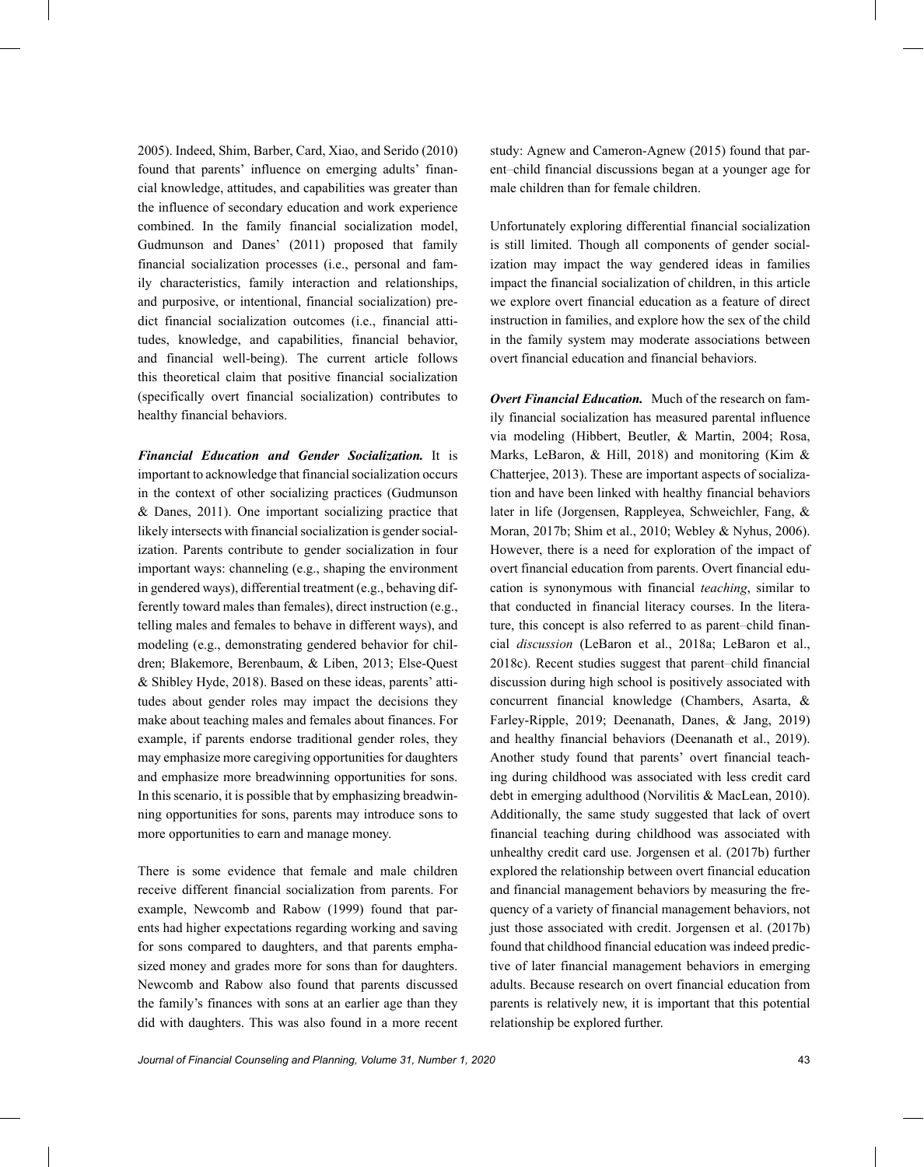2005). Indeed, Shim, Barber, Card, Xiao, and Serido (2010) found that parents' influence on emerging adults' financial knowledge, attitudes, and capabilities was greater than the influence of secondary education and work experience combined. In the family financial socialization model, Gudmunson and Danes' (2011) proposed that family financial socialization processes (i.e., personal and family characteristics, family interaction and relationships, and purposive, or intentional, financial socialization) predict financial socialization outcomes (i.e., financial attitudes, knowledge, and capabilities, financial behavior, and financial well-being). The current article follows this theoretical claim that positive financial socialization (specifically overt financial socialization) contributes to healthy financial behaviors.

*Financial Education and Gender Socialization.* It is important to acknowledge that financial socialization occurs in the context of other socializing practices (Gudmunson & Danes, 2011). One important socializing practice that likely intersects with financial socialization is gender socialization. Parents contribute to gender socialization in four important ways: channeling (e.g., shaping the environment in gendered ways), differential treatment (e.g., behaving differently toward males than females), direct instruction (e.g., telling males and females to behave in different ways), and modeling (e.g., demonstrating gendered behavior for children; Blakemore, Berenbaum, & Liben, 2013; Else-Quest & Shibley Hyde, 2018). Based on these ideas, parents' attitudes about gender roles may impact the decisions they make about teaching males and females about finances. For example, if parents endorse traditional gender roles, they may emphasize more caregiving opportunities for daughters and emphasize more breadwinning opportunities for sons. In this scenario, it is possible that by emphasizing breadwinning opportunities for sons, parents may introduce sons to more opportunities to earn and manage money.

There is some evidence that female and male children receive different financial socialization from parents. For example, Newcomb and Rabow (1999) found that parents had higher expectations regarding working and saving for sons compared to daughters, and that parents emphasized money and grades more for sons than for daughters. Newcomb and Rabow also found that parents discussed the family's finances with sons at an earlier age than they did with daughters. This was also found in a more recent relationship be explored further.

study: Agnew and Cameron-Agnew (2015) found that parent–child financial discussions began at a younger age for male children than for female children.

Unfortunately exploring differential financial socialization is still limited. Though all components of gender socialization may impact the way gendered ideas in families impact the financial socialization of children, in this article we explore overt financial education as a feature of direct instruction in families, and explore how the sex of the child in the family system may moderate associations between overt financial education and financial behaviors.

*Overt Financial Education.* Much of the research on family financial socialization has measured parental influence via modeling (Hibbert, Beutler, & Martin, 2004; Rosa, Marks, LeBaron, & Hill, 2018) and monitoring (Kim & Chatterjee, 2013). These are important aspects of socialization and have been linked with healthy financial behaviors later in life (Jorgensen, Rappleyea, Schweichler, Fang, & Moran, 2017b; Shim et al., 2010; Webley & Nyhus, 2006). However, there is a need for exploration of the impact of overt financial education from parents. Overt financial education is synonymous with financial *teaching*, similar to that conducted in financial literacy courses. In the literature, this concept is also referred to as parent–child financial *discussion* (LeBaron et al., 2018a; LeBaron et al., 2018c). Recent studies suggest that parent–child financial discussion during high school is positively associated with concurrent financial knowledge (Chambers, Asarta, & Farley-Ripple, 2019; Deenanath, Danes, & Jang, 2019) and healthy financial behaviors (Deenanath et al., 2019). Another study found that parents' overt financial teaching during childhood was associated with less credit card debt in emerging adulthood (Norvilitis & MacLean, 2010). Additionally, the same study suggested that lack of overt financial teaching during childhood was associated with unhealthy credit card use. Jorgensen et al. (2017b) further explored the relationship between overt financial education and financial management behaviors by measuring the frequency of a variety of financial management behaviors, not just those associated with credit. Jorgensen et al. (2017b) found that childhood financial education was indeed predictive of later financial management behaviors in emerging adults. Because research on overt financial education from parents is relatively new, it is important that this potential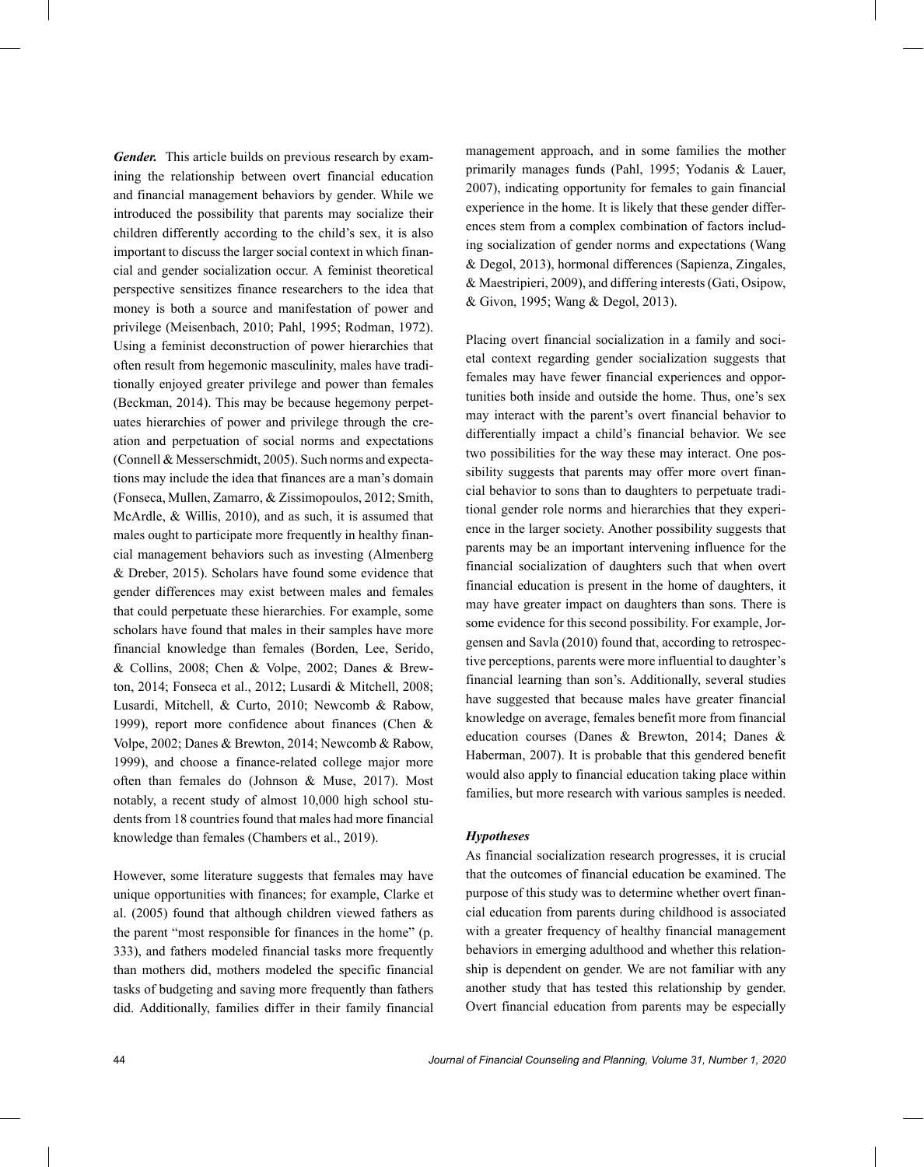*Gender.* This article builds on previous research by examining the relationship between overt financial education and financial management behaviors by gender. While we introduced the possibility that parents may socialize their children differently according to the child's sex, it is also important to discuss the larger social context in which financial and gender socialization occur. A feminist theoretical perspective sensitizes finance researchers to the idea that money is both a source and manifestation of power and privilege (Meisenbach, 2010; Pahl, 1995; Rodman, 1972). Using a feminist deconstruction of power hierarchies that often result from hegemonic masculinity, males have traditionally enjoyed greater privilege and power than females (Beckman, 2014). This may be because hegemony perpetuates hierarchies of power and privilege through the creation and perpetuation of social norms and expectations (Connell & Messerschmidt, 2005). Such norms and expectations may include the idea that finances are a man's domain (Fonseca, Mullen, Zamarro, & Zissimopoulos, 2012; Smith, McArdle, & Willis, 2010), and as such, it is assumed that males ought to participate more frequently in healthy financial management behaviors such as investing (Almenberg & Dreber, 2015). Scholars have found some evidence that gender differences may exist between males and females that could perpetuate these hierarchies. For example, some scholars have found that males in their samples have more financial knowledge than females (Borden, Lee, Serido, & Collins, 2008; Chen & Volpe, 2002; Danes & Brewton, 2014; Fonseca et al., 2012; Lusardi & Mitchell, 2008; Lusardi, Mitchell, & Curto, 2010; Newcomb & Rabow, 1999), report more confidence about finances (Chen & Volpe, 2002; Danes & Brewton, 2014; Newcomb & Rabow, 1999), and choose a finance-related college major more often than females do (Johnson & Muse, 2017). Most notably, a recent study of almost 10,000 high school students from 18 countries found that males had more financial knowledge than females (Chambers et al., 2019).

However, some literature suggests that females may have unique opportunities with finances; for example, Clarke et al. (2005) found that although children viewed fathers as the parent "most responsible for finances in the home" (p. 333), and fathers modeled financial tasks more frequently than mothers did, mothers modeled the specific financial tasks of budgeting and saving more frequently than fathers did. Additionally, families differ in their family financial

management approach, and in some families the mother primarily manages funds (Pahl, 1995; Yodanis & Lauer, 2007), indicating opportunity for females to gain financial experience in the home. It is likely that these gender differences stem from a complex combination of factors including socialization of gender norms and expectations (Wang & Degol, 2013), hormonal differences (Sapienza, Zingales, & Maestripieri, 2009), and differing interests (Gati, Osipow, & Givon, 1995; Wang & Degol, 2013).

Placing overt financial socialization in a family and societal context regarding gender socialization suggests that females may have fewer financial experiences and opportunities both inside and outside the home. Thus, one's sex may interact with the parent's overt financial behavior to differentially impact a child's financial behavior. We see two possibilities for the way these may interact. One possibility suggests that parents may offer more overt financial behavior to sons than to daughters to perpetuate traditional gender role norms and hierarchies that they experience in the larger society. Another possibility suggests that parents may be an important intervening influence for the financial socialization of daughters such that when overt financial education is present in the home of daughters, it may have greater impact on daughters than sons. There is some evidence for this second possibility. For example, Jorgensen and Savla (2010) found that, according to retrospective perceptions, parents were more influential to daughter's financial learning than son's. Additionally, several studies have suggested that because males have greater financial knowledge on average, females benefit more from financial education courses (Danes & Brewton, 2014; Danes & Haberman, 2007). It is probable that this gendered benefit would also apply to financial education taking place within families, but more research with various samples is needed.

## *Hypotheses*

As financial socialization research progresses, it is crucial that the outcomes of financial education be examined. The purpose of this study was to determine whether overt financial education from parents during childhood is associated with a greater frequency of healthy financial management behaviors in emerging adulthood and whether this relationship is dependent on gender. We are not familiar with any another study that has tested this relationship by gender. Overt financial education from parents may be especially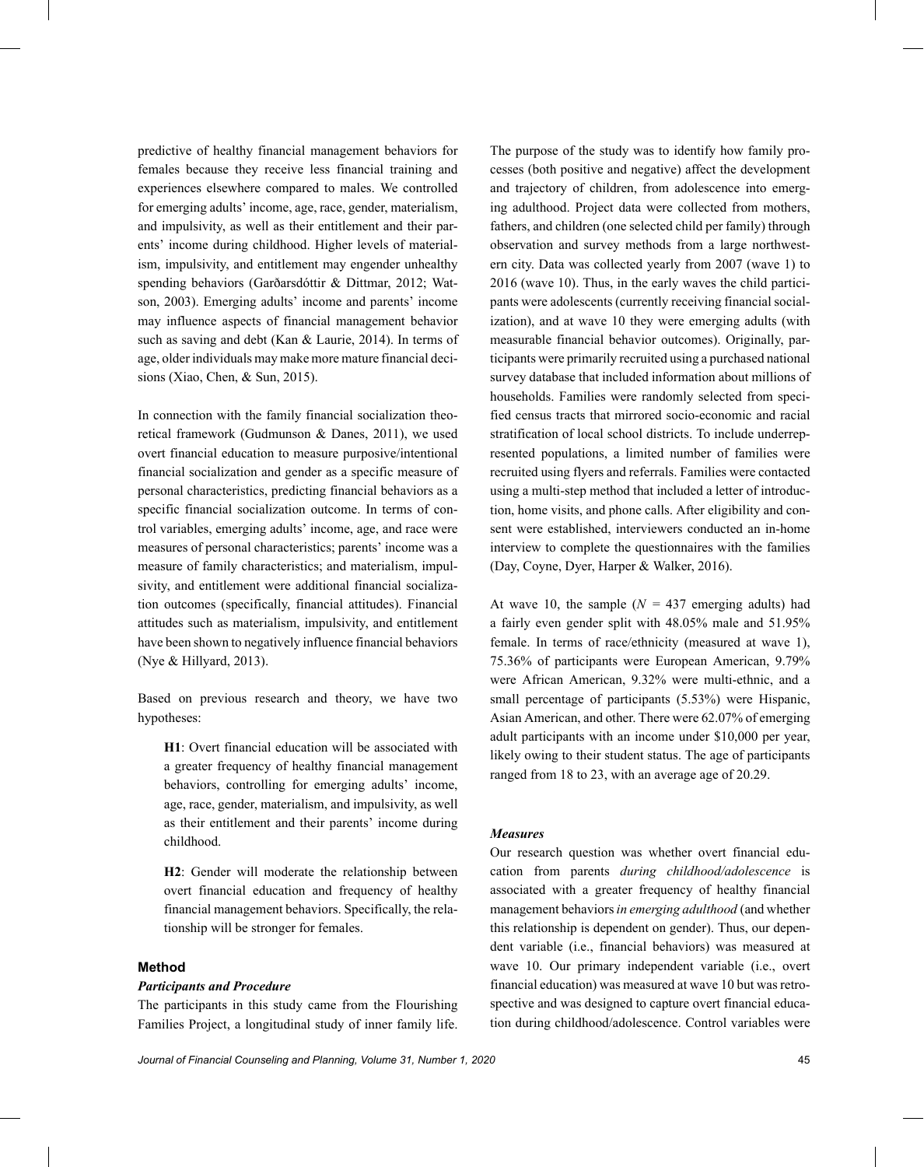predictive of healthy financial management behaviors for females because they receive less financial training and experiences elsewhere compared to males. We controlled for emerging adults' income, age, race, gender, materialism, and impulsivity, as well as their entitlement and their parents' income during childhood. Higher levels of materialism, impulsivity, and entitlement may engender unhealthy spending behaviors (Garðarsdóttir & Dittmar, 2012; Watson, 2003). Emerging adults' income and parents' income may influence aspects of financial management behavior such as saving and debt (Kan & Laurie, 2014). In terms of age, older individuals may make more mature financial decisions (Xiao, Chen, & Sun, 2015).

In connection with the family financial socialization theoretical framework (Gudmunson & Danes, 2011), we used overt financial education to measure purposive/intentional financial socialization and gender as a specific measure of personal characteristics, predicting financial behaviors as a specific financial socialization outcome. In terms of control variables, emerging adults' income, age, and race were measures of personal characteristics; parents' income was a measure of family characteristics; and materialism, impulsivity, and entitlement were additional financial socialization outcomes (specifically, financial attitudes). Financial attitudes such as materialism, impulsivity, and entitlement have been shown to negatively influence financial behaviors (Nye & Hillyard, 2013).

Based on previous research and theory, we have two hypotheses:

**H1**: Overt financial education will be associated with a greater frequency of healthy financial management behaviors, controlling for emerging adults' income, age, race, gender, materialism, and impulsivity, as well as their entitlement and their parents' income during childhood.

**H2**: Gender will moderate the relationship between overt financial education and frequency of healthy financial management behaviors. Specifically, the relationship will be stronger for females.

### **Method**

#### *Participants and Procedure*

The participants in this study came from the Flourishing Families Project, a longitudinal study of inner family life. tion during childhood/adolescence. Control variables were

The purpose of the study was to identify how family processes (both positive and negative) affect the development and trajectory of children, from adolescence into emerging adulthood. Project data were collected from mothers, fathers, and children (one selected child per family) through observation and survey methods from a large northwestern city. Data was collected yearly from 2007 (wave 1) to 2016 (wave 10). Thus, in the early waves the child participants were adolescents (currently receiving financial socialization), and at wave 10 they were emerging adults (with measurable financial behavior outcomes). Originally, participants were primarily recruited using a purchased national survey database that included information about millions of households. Families were randomly selected from specified census tracts that mirrored socio-economic and racial stratification of local school districts. To include underrepresented populations, a limited number of families were recruited using flyers and referrals. Families were contacted using a multi-step method that included a letter of introduction, home visits, and phone calls. After eligibility and consent were established, interviewers conducted an in-home interview to complete the questionnaires with the families (Day, Coyne, Dyer, Harper & Walker, 2016).

At wave 10, the sample  $(N = 437$  emerging adults) had a fairly even gender split with 48.05% male and 51.95% female. In terms of race/ethnicity (measured at wave 1), 75.36% of participants were European American, 9.79% were African American, 9.32% were multi-ethnic, and a small percentage of participants (5.53%) were Hispanic, Asian American, and other. There were 62.07% of emerging adult participants with an income under \$10,000 per year, likely owing to their student status. The age of participants ranged from 18 to 23, with an average age of 20.29.

#### *Measures*

Our research question was whether overt financial education from parents *during childhood/adolescence* is associated with a greater frequency of healthy financial management behaviors*in emerging adulthood* (and whether this relationship is dependent on gender). Thus, our dependent variable (i.e., financial behaviors) was measured at wave 10. Our primary independent variable (i.e., overt financial education) was measured at wave 10 but was retrospective and was designed to capture overt financial educa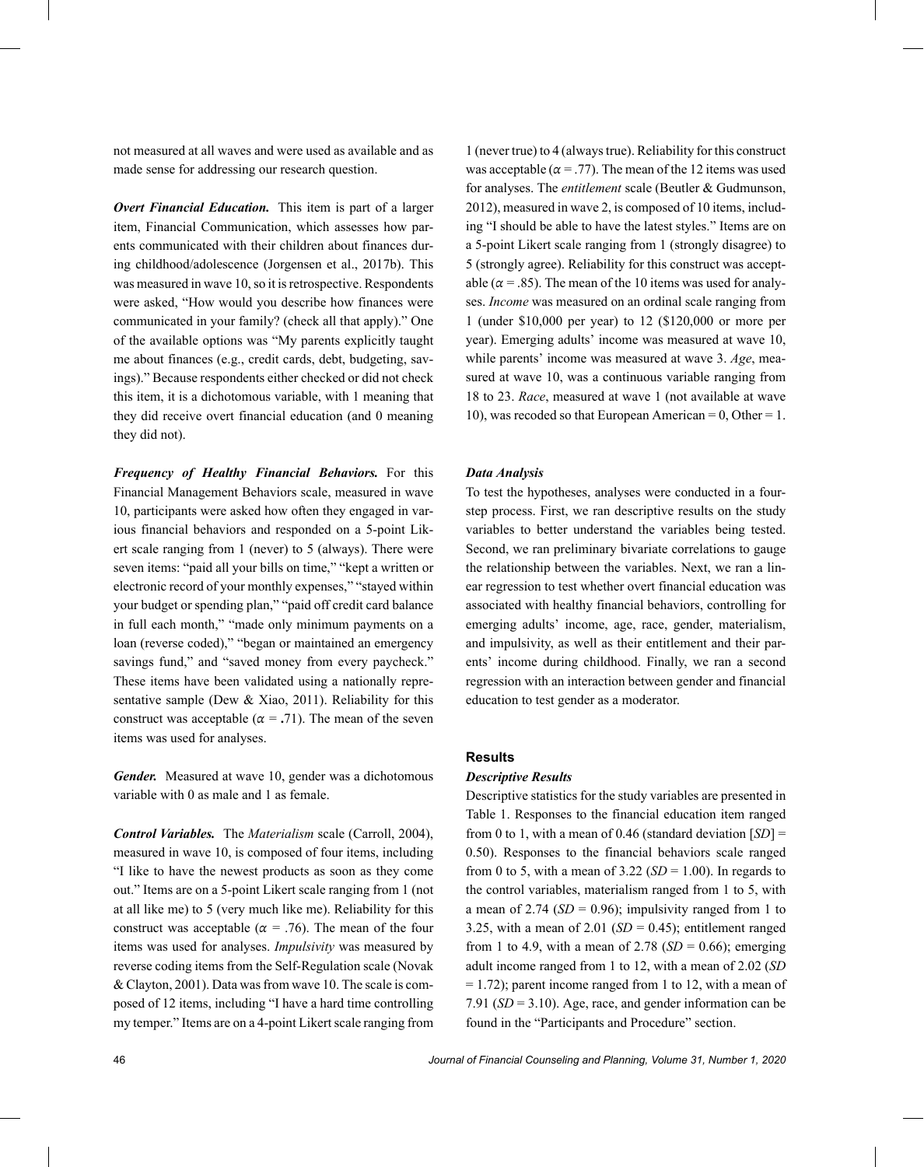not measured at all waves and were used as available and as made sense for addressing our research question.

*Overt Financial Education.* This item is part of a larger item, Financial Communication, which assesses how parents communicated with their children about finances during childhood/adolescence (Jorgensen et al., 2017b). This was measured in wave 10, so it is retrospective. Respondents were asked, "How would you describe how finances were communicated in your family? (check all that apply)." One of the available options was "My parents explicitly taught me about finances (e.g., credit cards, debt, budgeting, savings)." Because respondents either checked or did not check this item, it is a dichotomous variable, with 1 meaning that they did receive overt financial education (and 0 meaning they did not).

*Frequency of Healthy Financial Behaviors.* For this Financial Management Behaviors scale, measured in wave 10, participants were asked how often they engaged in various financial behaviors and responded on a 5-point Likert scale ranging from 1 (never) to 5 (always). There were seven items: "paid all your bills on time," "kept a written or electronic record of your monthly expenses," "stayed within your budget or spending plan," "paid off credit card balance in full each month," "made only minimum payments on a loan (reverse coded)," "began or maintained an emergency savings fund," and "saved money from every paycheck." These items have been validated using a nationally representative sample (Dew & Xiao, 2011). Reliability for this construct was acceptable ( $\alpha = .71$ ). The mean of the seven items was used for analyses.

*Gender.* Measured at wave 10, gender was a dichotomous variable with 0 as male and 1 as female.

*Control Variables.* The *Materialism* scale (Carroll, 2004), measured in wave 10, is composed of four items, including "I like to have the newest products as soon as they come out." Items are on a 5-point Likert scale ranging from 1 (not at all like me) to 5 (very much like me). Reliability for this construct was acceptable ( $\alpha$  = .76). The mean of the four items was used for analyses. *Impulsivity* was measured by reverse coding items from the Self-Regulation scale (Novak & Clayton, 2001). Data was from wave 10. The scale is composed of 12 items, including "I have a hard time controlling my temper." Items are on a 4-point Likert scale ranging from found in the "Participants and Procedure" section.

1 (never true) to 4 (always true). Reliability for this construct was acceptable ( $\alpha$  = .77). The mean of the 12 items was used for analyses. The *entitlement* scale (Beutler & Gudmunson, 2012), measured in wave 2, is composed of 10 items, including "I should be able to have the latest styles." Items are on a 5-point Likert scale ranging from 1 (strongly disagree) to 5 (strongly agree). Reliability for this construct was acceptable ( $\alpha$  = .85). The mean of the 10 items was used for analyses. *Income* was measured on an ordinal scale ranging from 1 (under \$10,000 per year) to 12 (\$120,000 or more per year). Emerging adults' income was measured at wave 10, while parents' income was measured at wave 3. *Age*, measured at wave 10, was a continuous variable ranging from 18 to 23. *Race*, measured at wave 1 (not available at wave 10), was recoded so that European American = 0, Other = 1.

#### *Data Analysis*

To test the hypotheses, analyses were conducted in a fourstep process. First, we ran descriptive results on the study variables to better understand the variables being tested. Second, we ran preliminary bivariate correlations to gauge the relationship between the variables. Next, we ran a linear regression to test whether overt financial education was associated with healthy financial behaviors, controlling for emerging adults' income, age, race, gender, materialism, and impulsivity, as well as their entitlement and their parents' income during childhood. Finally, we ran a second regression with an interaction between gender and financial education to test gender as a moderator.

#### **Results**

## *Descriptive Results*

Descriptive statistics for the study variables are presented in Table 1. Responses to the financial education item ranged from 0 to 1, with a mean of 0.46 (standard deviation [*SD*] = 0.50). Responses to the financial behaviors scale ranged from 0 to 5, with a mean of  $3.22$  (*SD* = 1.00). In regards to the control variables, materialism ranged from 1 to 5, with a mean of 2.74  $(SD = 0.96)$ ; impulsivity ranged from 1 to 3.25, with a mean of  $2.01$  (*SD* = 0.45); entitlement ranged from 1 to 4.9, with a mean of  $2.78$  (*SD* = 0.66); emerging adult income ranged from 1 to 12, with a mean of 2.02 (*SD*  $= 1.72$ ); parent income ranged from 1 to 12, with a mean of 7.91 (*SD* = 3.10). Age, race, and gender information can be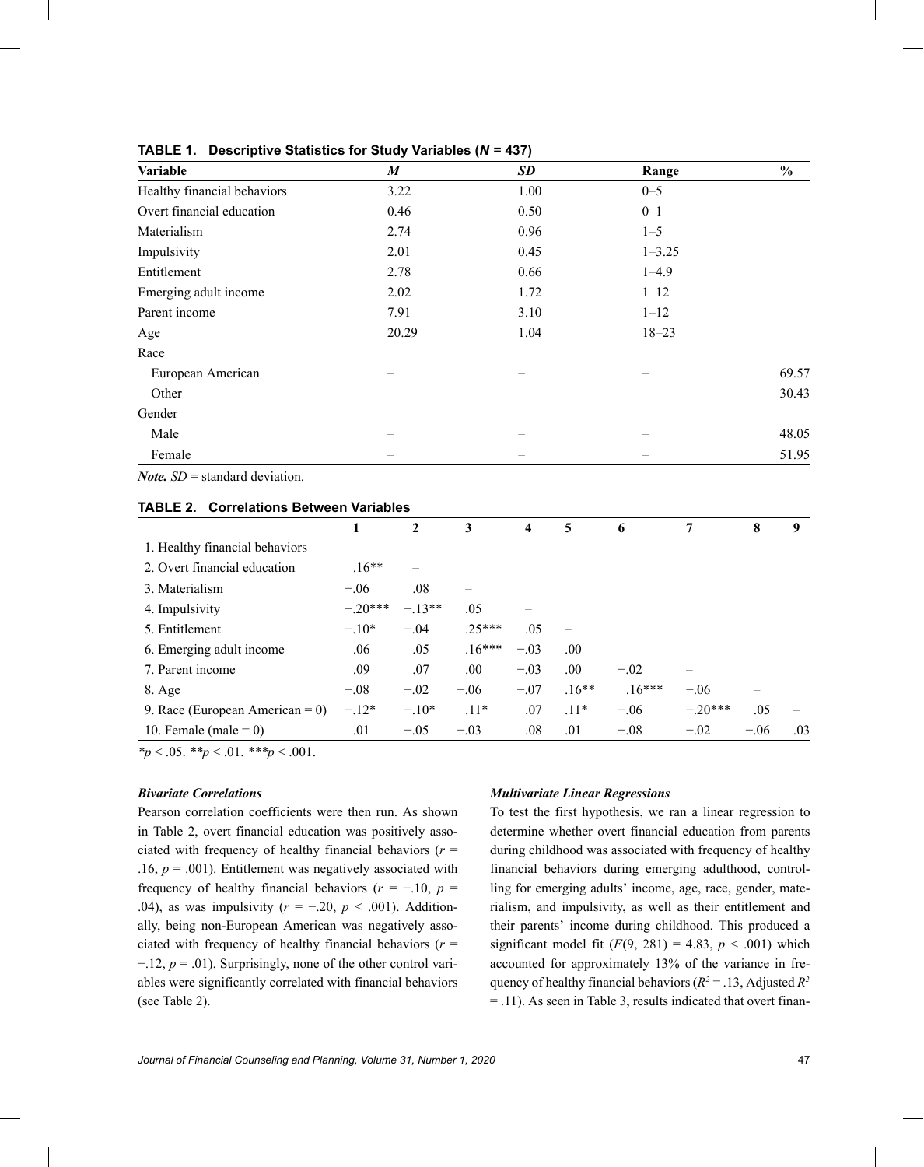| Variable                    | M     | <b>SD</b> | Range      | $\%$  |
|-----------------------------|-------|-----------|------------|-------|
| Healthy financial behaviors | 3.22  | 1.00      | $0 - 5$    |       |
| Overt financial education   | 0.46  | 0.50      | $0 - 1$    |       |
| Materialism                 | 2.74  | 0.96      | $1 - 5$    |       |
| Impulsivity                 | 2.01  | 0.45      | $1 - 3.25$ |       |
| Entitlement                 | 2.78  | 0.66      | $1 - 4.9$  |       |
| Emerging adult income       | 2.02  | 1.72      | $1 - 12$   |       |
| Parent income               | 7.91  | 3.10      | $1 - 12$   |       |
| Age                         | 20.29 | 1.04      | $18 - 23$  |       |
| Race                        |       |           |            |       |
| European American           |       |           |            | 69.57 |
| Other                       |       |           |            | 30.43 |
| Gender                      |       |           |            |       |
| Male                        |       |           |            | 48.05 |
| Female                      |       |           |            | 51.95 |

### **TABLE 1. Descriptive Statistics for Study Variables (***N* **= 437)**

*Note. SD* = standard deviation.

#### **TABLE 2. Correlations Between Variables**

|                                    | 1        | $\mathbf{2}$ | 3        | $\overline{\mathbf{4}}$ | 5       | 6        | 7         | 8      | 9   |
|------------------------------------|----------|--------------|----------|-------------------------|---------|----------|-----------|--------|-----|
| 1. Healthy financial behaviors     |          |              |          |                         |         |          |           |        |     |
| 2. Overt financial education       | $.16**$  |              |          |                         |         |          |           |        |     |
| 3. Materialism                     | $-.06$   | .08          |          |                         |         |          |           |        |     |
| 4. Impulsivity                     | $-20***$ | $-13**$      | .05      |                         |         |          |           |        |     |
| 5. Entitlement                     | $-.10*$  | $-.04$       | $.25***$ | .05                     |         |          |           |        |     |
| 6. Emerging adult income           | .06      | .05          | $16***$  | $-.03$                  | .00.    |          |           |        |     |
| 7. Parent income                   | .09      | .07          | .00.     | $-.03$                  | .00.    | $-.02$   |           |        |     |
| $8. \text{Age}$                    | $-.08$   | $-.02$       | $-.06$   | $-.07$                  | $.16**$ | $.16***$ | $-.06$    |        |     |
| 9. Race (European American = $0$ ) | $-.12*$  | $-.10*$      | $.11*$   | .07                     | $.11*$  | $-.06$   | $-.20***$ | .05    |     |
| 10. Female (male = $0$ )           | .01      | $-.05$       | $-.03$   | .08                     | .01     | $-.08$   | $-.02$    | $-.06$ | .03 |

*\*p* < .05. *\*\*p* < .01. *\*\*\*p* < .001.

#### *Bivariate Correlations*

Pearson correlation coefficients were then run. As shown in Table 2, overt financial education was positively associated with frequency of healthy financial behaviors ( $r =$ .16,  $p = .001$ ). Entitlement was negatively associated with frequency of healthy financial behaviors ( $r = -10$ ,  $p =$ .04), as was impulsivity (*r* = −.20, *p* < .001). Additionally, being non-European American was negatively associated with frequency of healthy financial behaviors (*r* = −.12, *p* = .01). Surprisingly, none of the other control variables were significantly correlated with financial behaviors (see Table 2).

#### *Multivariate Linear Regressions*

To test the first hypothesis, we ran a linear regression to determine whether overt financial education from parents during childhood was associated with frequency of healthy financial behaviors during emerging adulthood, controlling for emerging adults' income, age, race, gender, materialism, and impulsivity, as well as their entitlement and their parents' income during childhood. This produced a significant model fit  $(F(9, 281) = 4.83, p < .001)$  which accounted for approximately 13% of the variance in frequency of healthy financial behaviors ( $R^2 = 0.13$ , Adjusted  $R^2$ = .11). As seen in Table 3, results indicated that overt finan-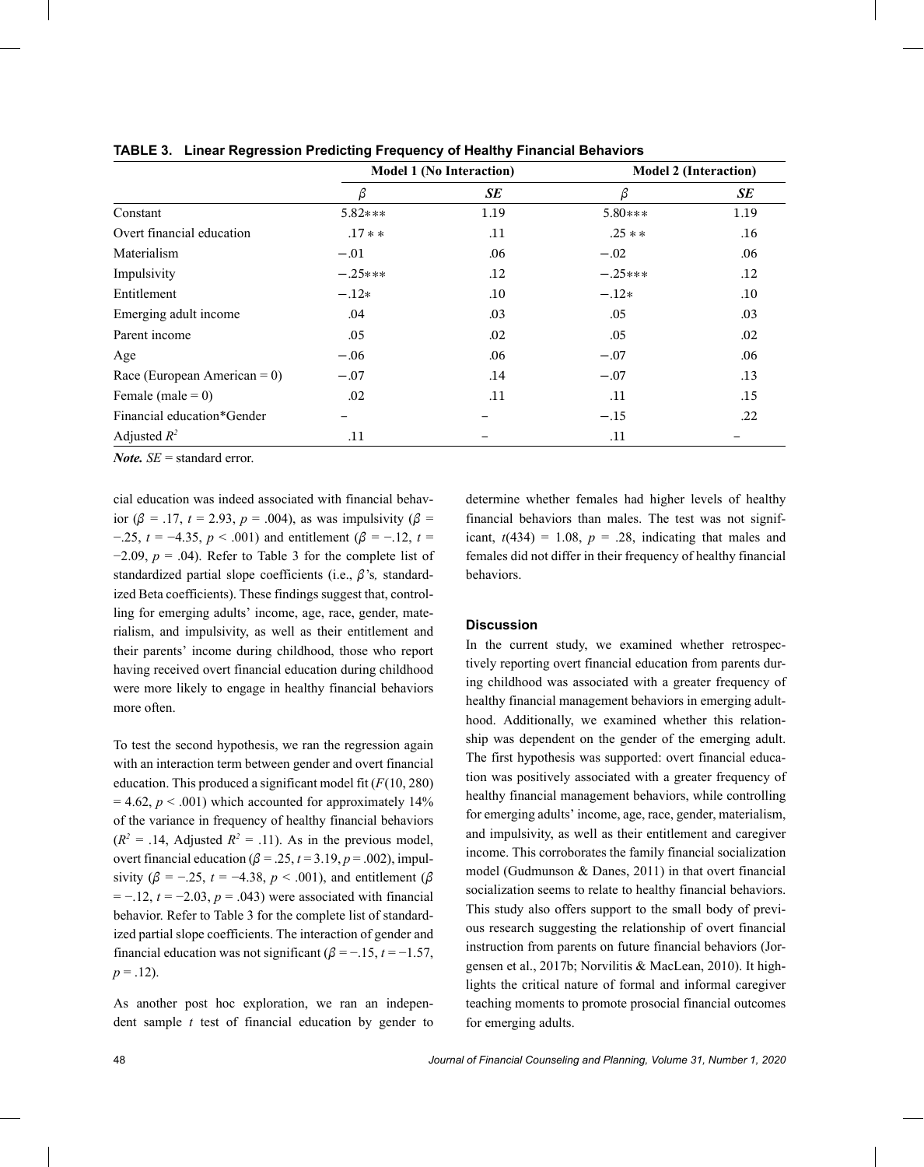|                                 | <b>Model 1 (No Interaction)</b> |      | <b>Model 2 (Interaction)</b> |      |
|---------------------------------|---------------------------------|------|------------------------------|------|
|                                 | β                               | SE   | β                            | SE   |
| Constant                        | $5.82***$                       | 1.19 | 5.80***                      | 1.19 |
| Overt financial education       | $.17**$                         | .11  | $.25**$                      | .16  |
| Materialism                     | $-.01$                          | .06  | $-.02$                       | .06  |
| Impulsivity                     | $-.25***$                       | .12  | $-.25***$                    | .12  |
| Entitlement                     | $-.12*$                         | .10  | $-.12*$                      | .10  |
| Emerging adult income           | .04                             | .03  | .05                          | .03  |
| Parent income                   | .05                             | .02  | .05                          | .02  |
| Age                             | $-.06$                          | .06  | $-.07$                       | .06  |
| Race (European American = $0$ ) | $-.07$                          | .14  | $-.07$                       | .13  |
| Female (male $= 0$ )            | .02                             | .11  | .11                          | .15  |
| Financial education*Gender      |                                 |      | $-.15$                       | .22  |
| Adjusted $R^2$                  | .11                             |      | .11                          |      |

**TABLE 3. Linear Regression Predicting Frequency of Healthy Financial Behaviors**

*Note. SE* = standard error.

cial education was indeed associated with financial behavior ( $\beta$  = .17, *t* = 2.93, *p* = .004), as was impulsivity ( $\beta$  =  $-0.25$ ,  $t = -4.35$ ,  $p < 0.001$ ) and entitlement ( $\beta = -0.12$ ,  $t =$  $-2.09$ ,  $p = .04$ ). Refer to Table 3 for the complete list of standardized partial slope coefficients (i.e.,  $\beta$ 's, standardized Beta coefficients). These findings suggest that, controlling for emerging adults' income, age, race, gender, materialism, and impulsivity, as well as their entitlement and their parents' income during childhood, those who report having received overt financial education during childhood were more likely to engage in healthy financial behaviors more often.

To test the second hypothesis, we ran the regression again with an interaction term between gender and overt financial education. This produced a significant model fit (*F*(10, 280)  $= 4.62$ ,  $p < .001$ ) which accounted for approximately 14% of the variance in frequency of healthy financial behaviors  $(R^2 = .14,$  Adjusted  $R^2 = .11$ ). As in the previous model, overt financial education ( $\beta$  = .25,  $t$  = 3.19,  $p$  = .002), impulsivity ( $\beta$  = −.25, *t* = −4.38, *p* < .001), and entitlement ( $\beta$ = −.12, *t* = −2.03, *p* = .043) were associated with financial behavior. Refer to Table 3 for the complete list of standardized partial slope coefficients. The interaction of gender and financial education was not significant ( $\beta = -1.5$ ,  $t = -1.57$ ,  $p = .12$ ).

As another post hoc exploration, we ran an indepen- $\theta$  dent sample *t* test of financial education by gender to for emerging adults.

determine whether females had higher levels of healthy financial behaviors than males. The test was not significant,  $t(434) = 1.08$ ,  $p = .28$ , indicating that males and females did not differ in their frequency of healthy financial behaviors.

## **Discussion**

In the current study, we examined whether retrospectively reporting overt financial education from parents during childhood was associated with a greater frequency of healthy financial management behaviors in emerging adulthood. Additionally, we examined whether this relationship was dependent on the gender of the emerging adult. The first hypothesis was supported: overt financial education was positively associated with a greater frequency of healthy financial management behaviors, while controlling for emerging adults' income, age, race, gender, materialism, and impulsivity, as well as their entitlement and caregiver income. This corroborates the family financial socialization model (Gudmunson & Danes, 2011) in that overt financial socialization seems to relate to healthy financial behaviors. This study also offers support to the small body of previous research suggesting the relationship of overt financial instruction from parents on future financial behaviors (Jorgensen et al., 2017b; Norvilitis & MacLean, 2010). It highlights the critical nature of formal and informal caregiver teaching moments to promote prosocial financial outcomes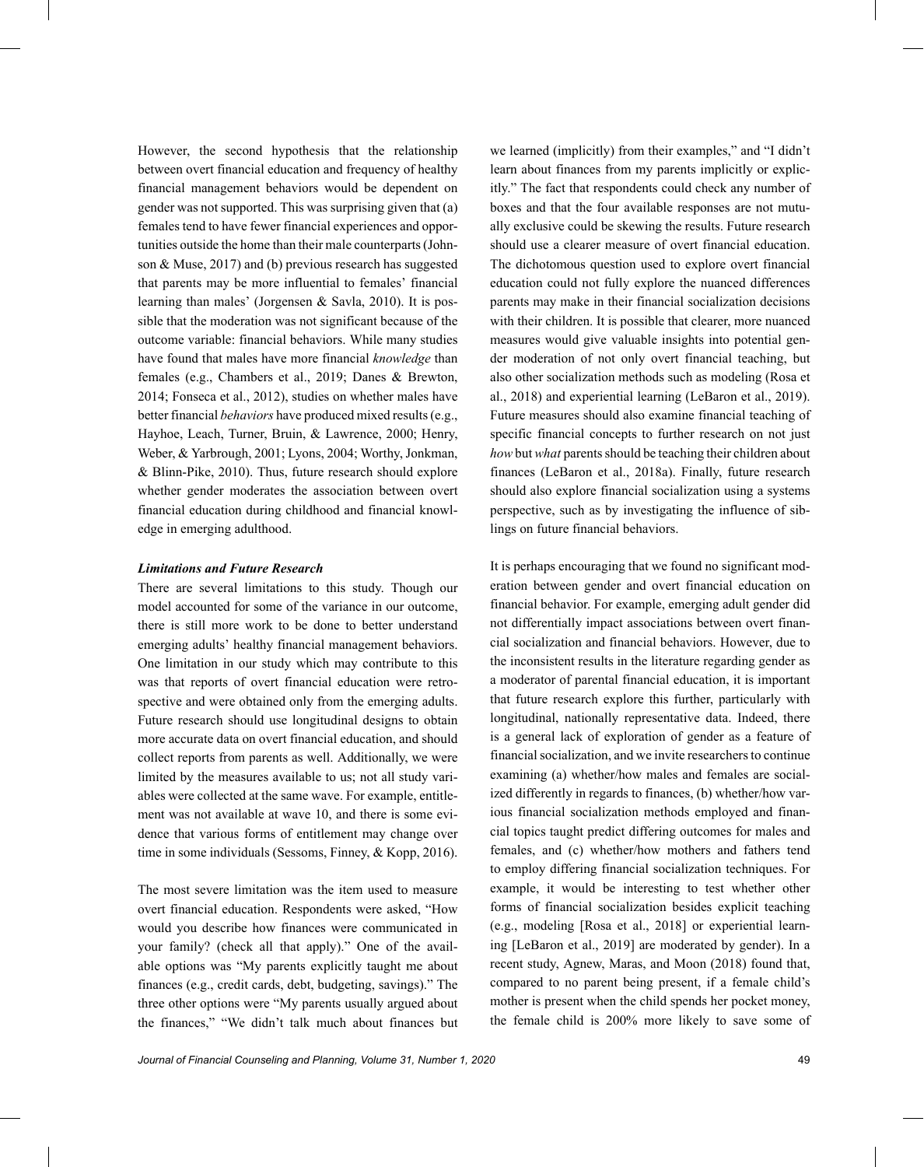However, the second hypothesis that the relationship between overt financial education and frequency of healthy financial management behaviors would be dependent on gender was not supported. This was surprising given that (a) females tend to have fewer financial experiences and opportunities outside the home than their male counterparts (Johnson & Muse, 2017) and (b) previous research has suggested that parents may be more influential to females' financial learning than males' (Jorgensen & Savla, 2010). It is possible that the moderation was not significant because of the outcome variable: financial behaviors. While many studies have found that males have more financial *knowledge* than females (e.g., Chambers et al., 2019; Danes & Brewton, 2014; Fonseca et al., 2012), studies on whether males have better financial *behaviors* have produced mixed results (e.g., Hayhoe, Leach, Turner, Bruin, & Lawrence, 2000; Henry, Weber, & Yarbrough, 2001; Lyons, 2004; Worthy, Jonkman, & Blinn-Pike, 2010). Thus, future research should explore whether gender moderates the association between overt financial education during childhood and financial knowledge in emerging adulthood.

#### *Limitations and Future Research*

There are several limitations to this study. Though our model accounted for some of the variance in our outcome, there is still more work to be done to better understand emerging adults' healthy financial management behaviors. One limitation in our study which may contribute to this was that reports of overt financial education were retrospective and were obtained only from the emerging adults. Future research should use longitudinal designs to obtain more accurate data on overt financial education, and should collect reports from parents as well. Additionally, we were limited by the measures available to us; not all study variables were collected at the same wave. For example, entitlement was not available at wave 10, and there is some evidence that various forms of entitlement may change over time in some individuals (Sessoms, Finney, & Kopp, 2016).

The most severe limitation was the item used to measure overt financial education. Respondents were asked, "How would you describe how finances were communicated in your family? (check all that apply)." One of the available options was "My parents explicitly taught me about finances (e.g., credit cards, debt, budgeting, savings)." The three other options were "My parents usually argued about the finances," "We didn't talk much about finances but we learned (implicitly) from their examples," and "I didn't learn about finances from my parents implicitly or explicitly." The fact that respondents could check any number of boxes and that the four available responses are not mutually exclusive could be skewing the results. Future research should use a clearer measure of overt financial education. The dichotomous question used to explore overt financial education could not fully explore the nuanced differences parents may make in their financial socialization decisions with their children. It is possible that clearer, more nuanced measures would give valuable insights into potential gender moderation of not only overt financial teaching, but also other socialization methods such as modeling (Rosa et al., 2018) and experiential learning (LeBaron et al., 2019). Future measures should also examine financial teaching of specific financial concepts to further research on not just *how* but *what* parents should be teaching their children about finances (LeBaron et al., 2018a). Finally, future research should also explore financial socialization using a systems perspective, such as by investigating the influence of siblings on future financial behaviors.

It is perhaps encouraging that we found no significant moderation between gender and overt financial education on financial behavior. For example, emerging adult gender did not differentially impact associations between overt financial socialization and financial behaviors. However, due to the inconsistent results in the literature regarding gender as a moderator of parental financial education, it is important that future research explore this further, particularly with longitudinal, nationally representative data. Indeed, there is a general lack of exploration of gender as a feature of financial socialization, and we invite researchers to continue examining (a) whether/how males and females are socialized differently in regards to finances, (b) whether/how various financial socialization methods employed and financial topics taught predict differing outcomes for males and females, and (c) whether/how mothers and fathers tend to employ differing financial socialization techniques. For example, it would be interesting to test whether other forms of financial socialization besides explicit teaching (e.g., modeling [Rosa et al., 2018] or experiential learning [LeBaron et al., 2019] are moderated by gender). In a recent study, Agnew, Maras, and Moon (2018) found that, compared to no parent being present, if a female child's mother is present when the child spends her pocket money, the female child is 200% more likely to save some of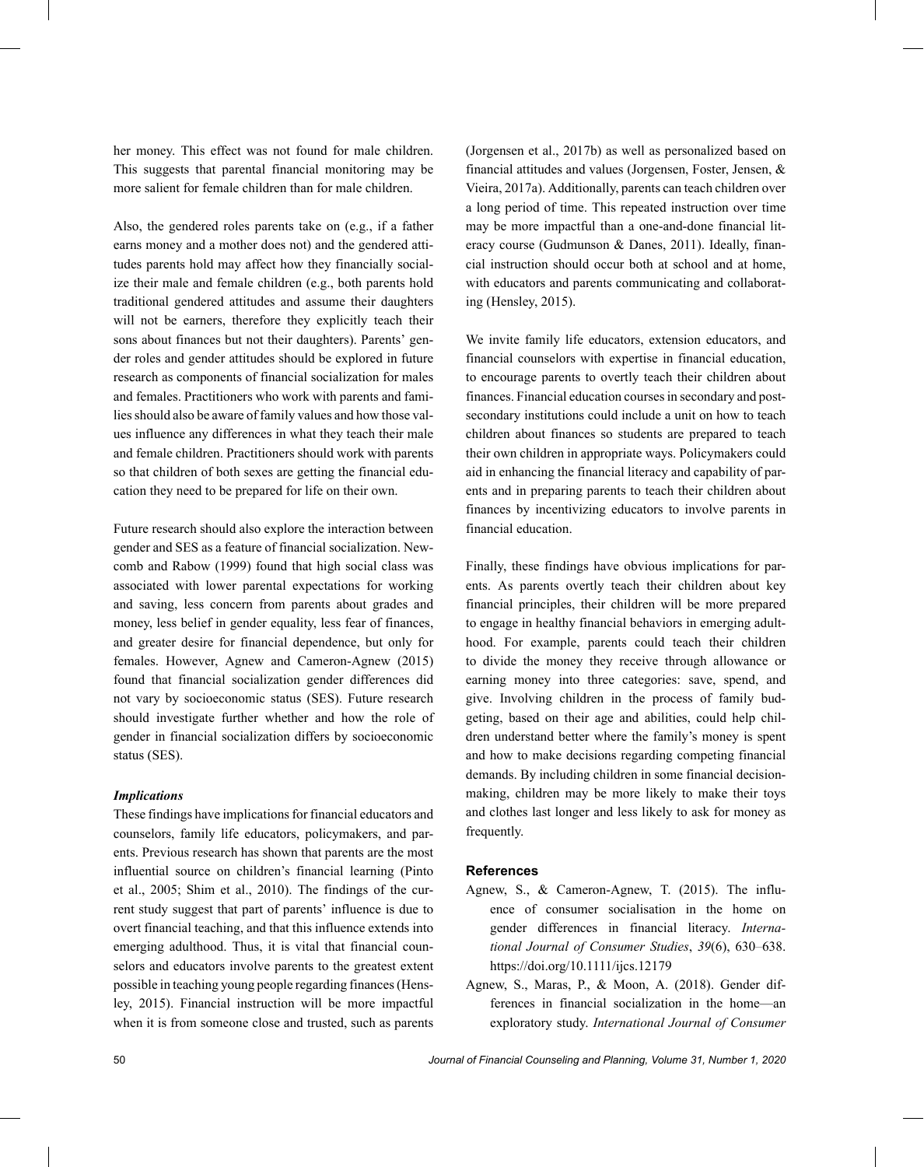her money. This effect was not found for male children. This suggests that parental financial monitoring may be more salient for female children than for male children.

Also, the gendered roles parents take on (e.g., if a father earns money and a mother does not) and the gendered attitudes parents hold may affect how they financially socialize their male and female children (e.g., both parents hold traditional gendered attitudes and assume their daughters will not be earners, therefore they explicitly teach their sons about finances but not their daughters). Parents' gender roles and gender attitudes should be explored in future research as components of financial socialization for males and females. Practitioners who work with parents and families should also be aware of family values and how those values influence any differences in what they teach their male and female children. Practitioners should work with parents so that children of both sexes are getting the financial education they need to be prepared for life on their own.

Future research should also explore the interaction between gender and SES as a feature of financial socialization. Newcomb and Rabow (1999) found that high social class was associated with lower parental expectations for working and saving, less concern from parents about grades and money, less belief in gender equality, less fear of finances, and greater desire for financial dependence, but only for females. However, Agnew and Cameron-Agnew (2015) found that financial socialization gender differences did not vary by socioeconomic status (SES). Future research should investigate further whether and how the role of gender in financial socialization differs by socioeconomic status (SES).

## *Implications*

These findings have implications for financial educators and counselors, family life educators, policymakers, and parents. Previous research has shown that parents are the most influential source on children's financial learning (Pinto et al., 2005; Shim et al., 2010). The findings of the current study suggest that part of parents' influence is due to overt financial teaching, and that this influence extends into emerging adulthood. Thus, it is vital that financial counselors and educators involve parents to the greatest extent possible in teaching young people regarding finances (Hensley, 2015). Financial instruction will be more impactful

(Jorgensen et al., 2017b) as well as personalized based on financial attitudes and values (Jorgensen, Foster, Jensen, & Vieira, 2017a). Additionally, parents can teach children over a long period of time. This repeated instruction over time may be more impactful than a one-and-done financial literacy course (Gudmunson & Danes, 2011). Ideally, financial instruction should occur both at school and at home, with educators and parents communicating and collaborating (Hensley, 2015).

We invite family life educators, extension educators, and financial counselors with expertise in financial education, to encourage parents to overtly teach their children about finances. Financial education courses in secondary and postsecondary institutions could include a unit on how to teach children about finances so students are prepared to teach their own children in appropriate ways. Policymakers could aid in enhancing the financial literacy and capability of parents and in preparing parents to teach their children about finances by incentivizing educators to involve parents in financial education.

Finally, these findings have obvious implications for parents. As parents overtly teach their children about key financial principles, their children will be more prepared to engage in healthy financial behaviors in emerging adulthood. For example, parents could teach their children to divide the money they receive through allowance or earning money into three categories: save, spend, and give. Involving children in the process of family budgeting, based on their age and abilities, could help children understand better where the family's money is spent and how to make decisions regarding competing financial demands. By including children in some financial decisionmaking, children may be more likely to make their toys and clothes last longer and less likely to ask for money as frequently.

#### **References**

- Agnew, S., & Cameron-Agnew, T. (2015). The influence of consumer socialisation in the home on gender differences in financial literacy. *International Journal of Consumer Studies*, *39*(6), 630–638. <https://doi.org/10.1111/ijcs.12179>
- when it is from someone close and trusted, such as parents exploratory study. *International Journal of Consumer* Agnew, S., Maras, P., & Moon, A. (2018). Gender differences in financial socialization in the home—an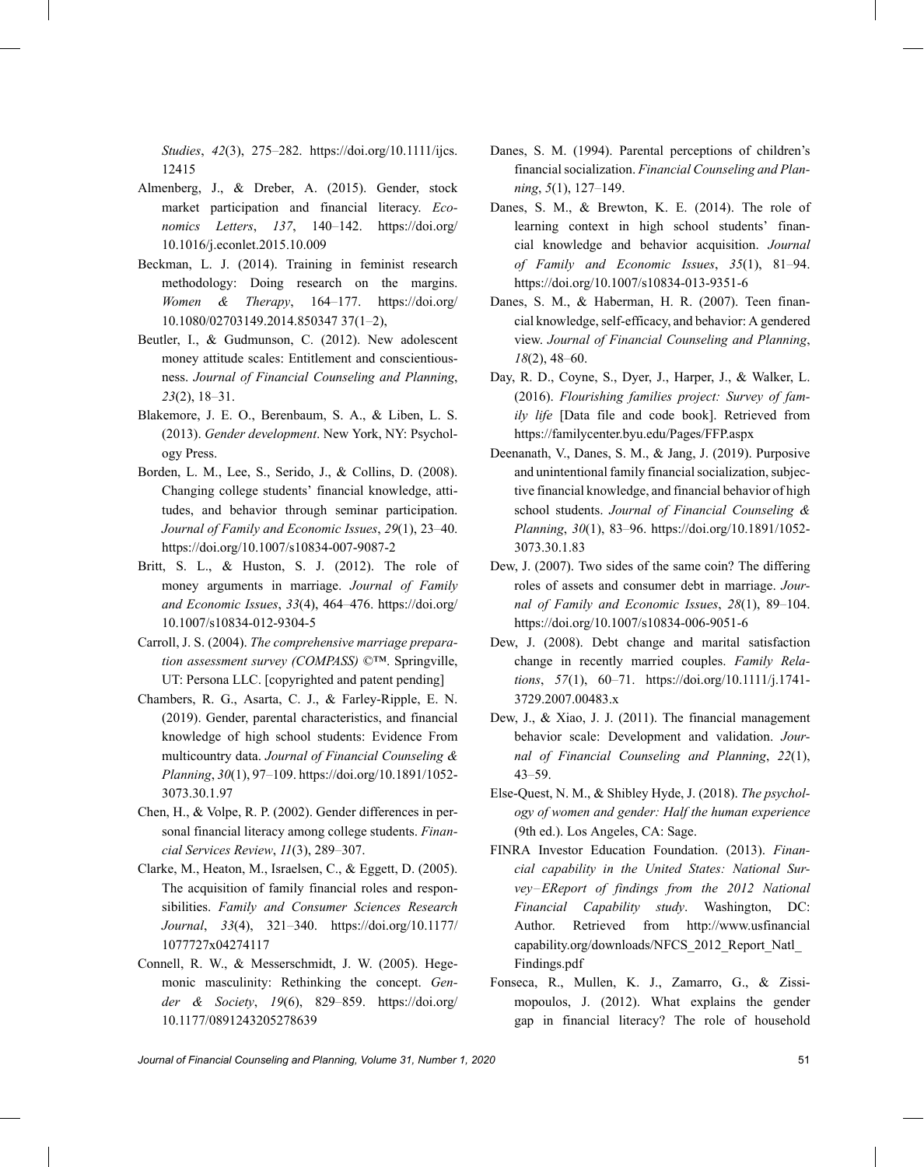*Studies*, *42*(3), 275–282. [https://doi.org/10.1111/ijcs.](https://doi.org/10.1111/ijcs.12415) [12415](https://doi.org/10.1111/ijcs.12415)

- Almenberg, J., & Dreber, A. (2015). Gender, stock market participation and financial literacy. *Economics Letters*, *137*, 140–142. [https://doi.org/](https://doi.org/10.1016/j.econlet.2015.10.009) [10.1016/j.econlet.2015.10.009](https://doi.org/10.1016/j.econlet.2015.10.009)
- Beckman, L. J. (2014). Training in feminist research methodology: Doing research on the margins. *Women & Therapy*, 164–177. [https://doi.org/](https://doi.org/10.1080/02703149.2014.85034737(1%E2%80%932)) [10.1080/02703149.2014.850347 37\(1](https://doi.org/10.1080/02703149.2014.85034737(1%E2%80%932))–2),
- Beutler, I., & Gudmunson, C. (2012). New adolescent money attitude scales: Entitlement and conscientiousness. *Journal of Financial Counseling and Planning*, *23*(2), 18–31.
- Blakemore, J. E. O., Berenbaum, S. A., & Liben, L. S. (2013). *Gender development*. New York, NY: Psychology Press.
- Borden, L. M., Lee, S., Serido, J., & Collins, D. (2008). Changing college students' financial knowledge, attitudes, and behavior through seminar participation. *Journal of Family and Economic Issues*, *29*(1), 23–40. <https://doi.org/10.1007/s10834-007-9087-2>
- Britt, S. L., & Huston, S. J. (2012). The role of money arguments in marriage. *Journal of Family and Economic Issues*, *33*(4), 464–476. [https://doi.org/](https://doi.org/10.1007/s10834-012-9304-5) [10.1007/s10834-012-9304-5](https://doi.org/10.1007/s10834-012-9304-5)
- Carroll, J. S. (2004). *The comprehensive marriage preparation assessment survey (COMPASS)* ©™. Springville, UT: Persona LLC. [copyrighted and patent pending]
- Chambers, R. G., Asarta, C. J., & Farley-Ripple, E. N. (2019). Gender, parental characteristics, and financial knowledge of high school students: Evidence From multicountry data. *Journal of Financial Counseling & Planning*, *30*(1), 97–109. [https://doi.org/10.1891/1052-](https://doi.org/10.1891/1052-3073.30.1.97) [3073.30.1.97](https://doi.org/10.1891/1052-3073.30.1.97)
- Chen, H., & Volpe, R. P. (2002). Gender differences in personal financial literacy among college students. *Financial Services Review*, *11*(3), 289–307.
- Clarke, M., Heaton, M., Israelsen, C., & Eggett, D. (2005). The acquisition of family financial roles and responsibilities. *Family and Consumer Sciences Research Journal*, *33*(4), 321–340. [https://doi.org/10.1177/](https://doi.org/10.1177/1077727x04274117) [1077727x04274117](https://doi.org/10.1177/1077727x04274117)
- Connell, R. W., & Messerschmidt, J. W. (2005). Hegemonic masculinity: Rethinking the concept. *Gender & Society*, *19*(6), 829–859. [https://doi.org/](https://doi.org/10.1177/0891243205278639) [10.1177/0891243205278639](https://doi.org/10.1177/0891243205278639)
- Danes, S. M. (1994). Parental perceptions of children's financial socialization. *Financial Counseling and Planning*, *5*(1), 127–149.
- Danes, S. M., & Brewton, K. E. (2014). The role of learning context in high school students' financial knowledge and behavior acquisition. *Journal of Family and Economic Issues*, *35*(1), 81–94. <https://doi.org/10.1007/s10834-013-9351-6>
- Danes, S. M., & Haberman, H. R. (2007). Teen financial knowledge, self-efficacy, and behavior: A gendered view. *Journal of Financial Counseling and Planning*, *18*(2), 48–60.
- Day, R. D., Coyne, S., Dyer, J., Harper, J., & Walker, L. (2016). *Flourishing families project: Survey of family life* [Data file and code book]. Retrieved from <https://familycenter.byu.edu/Pages/FFP.aspx>
- Deenanath, V., Danes, S. M., & Jang, J. (2019). Purposive and unintentional family financial socialization, subjective financial knowledge, and financial behavior of high school students. *Journal of Financial Counseling & Planning*, *30*(1), 83–96. [https://doi.org/10.1891/1052-](https://doi.org/10.1891/1052-3073.30.1.83) [3073.30.1.83](https://doi.org/10.1891/1052-3073.30.1.83)
- Dew, J. (2007). Two sides of the same coin? The differing roles of assets and consumer debt in marriage. *Journal of Family and Economic Issues*, *28*(1), 89–104. <https://doi.org/10.1007/s10834-006-9051-6>
- Dew, J. (2008). Debt change and marital satisfaction change in recently married couples. *Family Relations*, *57*(1), 60–71. [https://doi.org/10.1111/j.1741-](https://doi.org/10.1111/j.1741-3729.2007.00483.x) [3729.2007.00483.x](https://doi.org/10.1111/j.1741-3729.2007.00483.x)
- Dew, J., & Xiao, J. J. (2011). The financial management behavior scale: Development and validation. *Journal of Financial Counseling and Planning*, *22*(1), 43–59.
- Else-Quest, N. M., & Shibley Hyde, J. (2018). *The psychology of women and gender: Half the human experience* (9th ed.). Los Angeles, CA: Sage.
- FINRA Investor Education Foundation. (2013). *Financial capability in the United States: National Survey*–*EReport of findings from the 2012 National Financial Capability study*. Washington, DC: Author. Retrieved from [http://www.usfinancial](http://www.usfinancialcapability.org/downloads/NFCS_2012_Report_Natl_Findings.pdf) [capability.org/downloads/NFCS\\_2012\\_Report\\_Natl\\_](http://www.usfinancialcapability.org/downloads/NFCS_2012_Report_Natl_Findings.pdf) [Findings.pdf](http://www.usfinancialcapability.org/downloads/NFCS_2012_Report_Natl_Findings.pdf)
- Fonseca, R., Mullen, K. J., Zamarro, G., & Zissimopoulos, J. (2012). What explains the gender gap in financial literacy? The role of household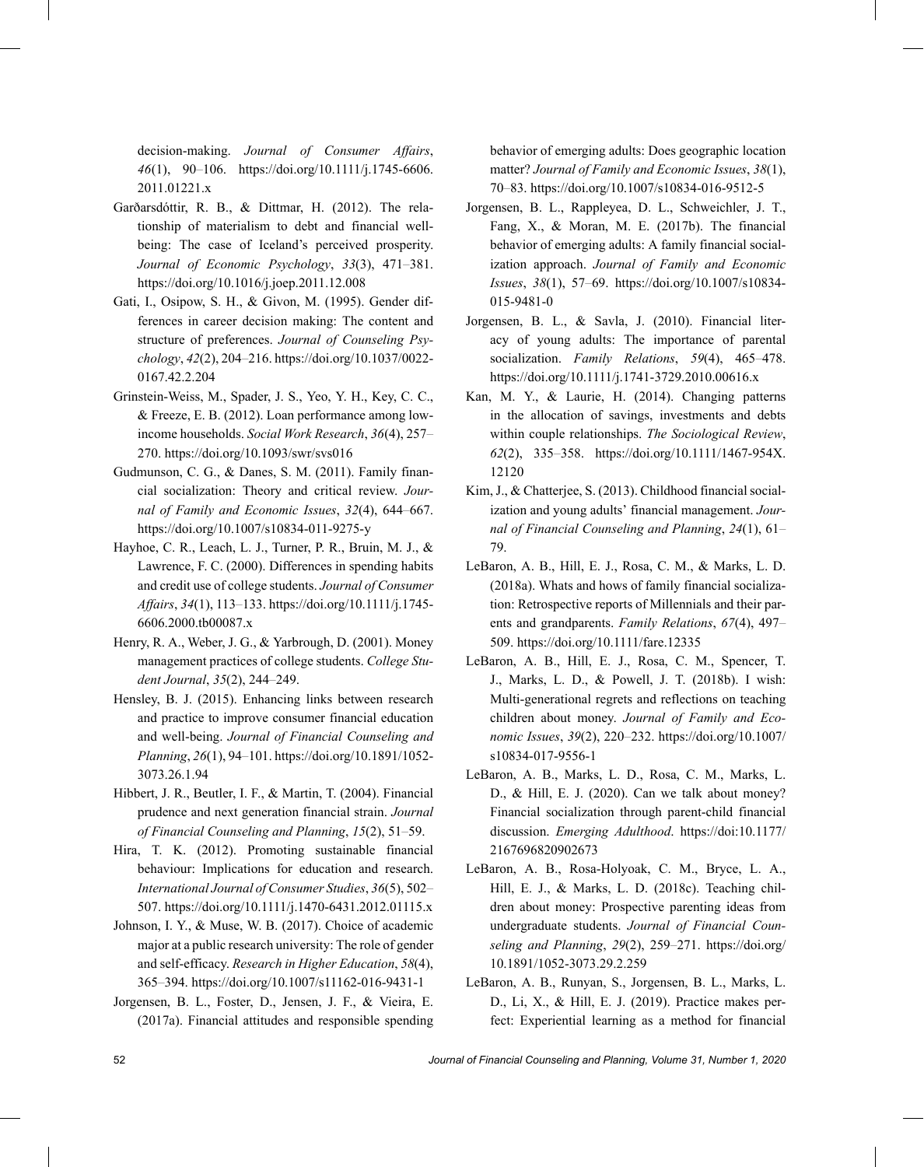decision-making. *Journal of Consumer Affairs*, *46*(1), 90–106. [https://doi.org/10.1111/j.1745-6606.](https://doi.org/10.1111/j.1745-6606.2011.01221.x) [2011.01221.x](https://doi.org/10.1111/j.1745-6606.2011.01221.x)

- Garðarsdóttir, R. B., & Dittmar, H. (2012). The relationship of materialism to debt and financial wellbeing: The case of Iceland's perceived prosperity. *Journal of Economic Psychology*, *33*(3), 471–381. <https://doi.org/10.1016/j.joep.2011.12.008>
- Gati, I., Osipow, S. H., & Givon, M. (1995). Gender differences in career decision making: The content and structure of preferences. *Journal of Counseling Psychology*, *42*(2), 204–216. [https://doi.org/10.1037/0022-](https://doi.org/10.1037/0022-0167.42.2.204) [0167.42.2.204](https://doi.org/10.1037/0022-0167.42.2.204)
- Grinstein-Weiss, M., Spader, J. S., Yeo, Y. H., Key, C. C., & Freeze, E. B. (2012). Loan performance among lowincome households. *Social Work Research*, *36*(4), 257– 270.<https://doi.org/10.1093/swr/svs016>
- Gudmunson, C. G., & Danes, S. M. (2011). Family financial socialization: Theory and critical review. *Journal of Family and Economic Issues*, *32*(4), 644–667. <https://doi.org/10.1007/s10834-011-9275-y>
- Hayhoe, C. R., Leach, L. J., Turner, P. R., Bruin, M. J., & Lawrence, F. C. (2000). Differences in spending habits and credit use of college students. *Journal of Consumer Affairs*, *34*(1), 113–133. [https://doi.org/10.1111/j.1745-](https://doi.org/10.1111/j.1745-6606.2000.tb00087.x) [6606.2000.tb00087.x](https://doi.org/10.1111/j.1745-6606.2000.tb00087.x)
- Henry, R. A., Weber, J. G., & Yarbrough, D. (2001). Money management practices of college students. *College Student Journal*, *35*(2), 244–249.
- Hensley, B. J. (2015). Enhancing links between research and practice to improve consumer financial education and well-being. *Journal of Financial Counseling and Planning*, *26*(1), 94–101. [https://doi.org/10.1891/1052-](https://doi.org/10.1891/1052-3073.26.1.94) [3073.26.1.94](https://doi.org/10.1891/1052-3073.26.1.94)
- Hibbert, J. R., Beutler, I. F., & Martin, T. (2004). Financial prudence and next generation financial strain. *Journal of Financial Counseling and Planning*, *15*(2), 51–59.
- Hira, T. K. (2012). Promoting sustainable financial behaviour: Implications for education and research. *International Journal of Consumer Studies*, *36*(5), 502– 507.<https://doi.org/10.1111/j.1470-6431.2012.01115.x>
- Johnson, I. Y., & Muse, W. B. (2017). Choice of academic major at a public research university: The role of gender and self-efficacy. *Research in Higher Education*, *58*(4), 365–394.<https://doi.org/10.1007/s11162-016-9431-1>
- Jorgensen, B. L., Foster, D., Jensen, J. F., & Vieira, E. (2017a). Financial attitudes and responsible spending

behavior of emerging adults: Does geographic location matter? *Journal of Family and Economic Issues*, *38*(1), 70–83.<https://doi.org/10.1007/s10834-016-9512-5>

- Jorgensen, B. L., Rappleyea, D. L., Schweichler, J. T., Fang, X., & Moran, M. E. (2017b). The financial behavior of emerging adults: A family financial socialization approach. *Journal of Family and Economic Issues*, *38*(1), 57–69. [https://doi.org/10.1007/s10834-](https://doi.org/10.1007/s10834-015-9481-0) [015-9481-0](https://doi.org/10.1007/s10834-015-9481-0)
- Jorgensen, B. L., & Savla, J. (2010). Financial literacy of young adults: The importance of parental socialization. *Family Relations*, *59*(4), 465–478. <https://doi.org/10.1111/j.1741-3729.2010.00616.x>
- Kan, M. Y., & Laurie, H. (2014). Changing patterns in the allocation of savings, investments and debts within couple relationships. *The Sociological Review*, *62*(2), 335–358. [https://doi.org/10.1111/1467-954X.](https://doi.org/10.1111/1467-954X.12120) [12120](https://doi.org/10.1111/1467-954X.12120)
- Kim, J., & Chatterjee, S. (2013). Childhood financial socialization and young adults' financial management. *Journal of Financial Counseling and Planning*, *24*(1), 61– 79.
- LeBaron, A. B., Hill, E. J., Rosa, C. M., & Marks, L. D. (2018a). Whats and hows of family financial socialization: Retrospective reports of Millennials and their parents and grandparents. *Family Relations*, *67*(4), 497– 509.<https://doi.org/10.1111/fare.12335>
- LeBaron, A. B., Hill, E. J., Rosa, C. M., Spencer, T. J., Marks, L. D., & Powell, J. T. (2018b). I wish: Multi-generational regrets and reflections on teaching children about money. *Journal of Family and Economic Issues*, *39*(2), 220–232. [https://doi.org/10.1007/](https://doi.org/10.1007/s10834-017-9556-1) [s10834-017-9556-1](https://doi.org/10.1007/s10834-017-9556-1)
- LeBaron, A. B., Marks, L. D., Rosa, C. M., Marks, L. D., & Hill, E. J. (2020). Can we talk about money? Financial socialization through parent-child financial discussion. *Emerging Adulthood*. [https://doi:10.1177/](https://doi:10.1177/2167696820902673) [2167696820902673](https://doi:10.1177/2167696820902673)
- LeBaron, A. B., Rosa-Holyoak, C. M., Bryce, L. A., Hill, E. J., & Marks, L. D. (2018c). Teaching children about money: Prospective parenting ideas from undergraduate students. *Journal of Financial Counseling and Planning*, *29*(2), 259–271. [https://doi.org/](https://doi.org/10.1891/1052-3073.29.2.259) [10.1891/1052-3073.29.2.259](https://doi.org/10.1891/1052-3073.29.2.259)
- LeBaron, A. B., Runyan, S., Jorgensen, B. L., Marks, L. D., Li, X., & Hill, E. J. (2019). Practice makes perfect: Experiential learning as a method for financial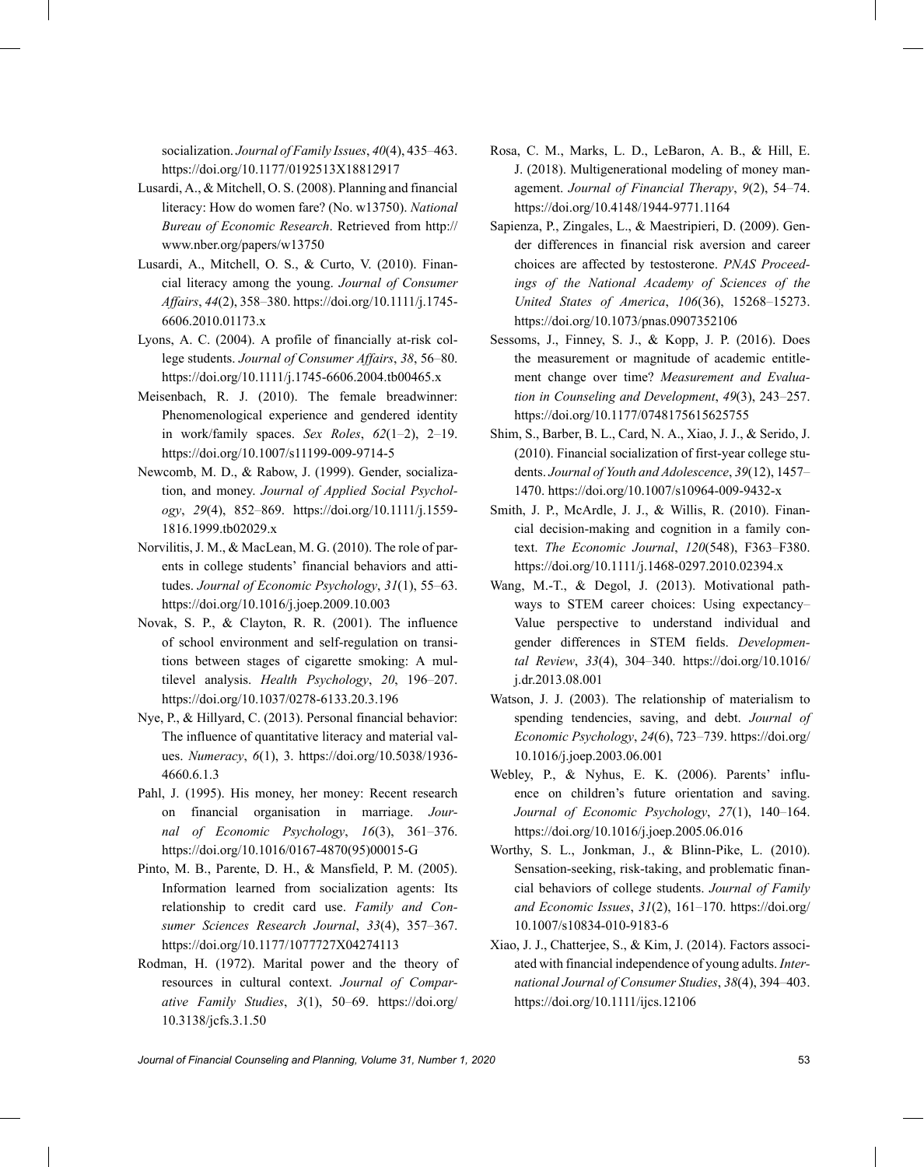socialization. *Journal of Family Issues*, *40*(4), 435–463. <https://doi.org/10.1177/0192513X18812917>

- Lusardi, A., & Mitchell, O. S. (2008). Planning and financial literacy: How do women fare? (No. w13750). *National Bureau of Economic Research*. Retrieved from [http://](http://www.nber.org/papers/w13750) [www.nber.org/papers/w13750](http://www.nber.org/papers/w13750)
- Lusardi, A., Mitchell, O. S., & Curto, V. (2010). Financial literacy among the young. *Journal of Consumer Affairs*, *44*(2), 358–380. [https://doi.org/10.1111/j.1745-](https://doi.org/10.1111/j.1745-6606.2010.01173.x) [6606.2010.01173.x](https://doi.org/10.1111/j.1745-6606.2010.01173.x)
- Lyons, A. C. (2004). A profile of financially at-risk college students. *Journal of Consumer Affairs*, *38*, 56–80. <https://doi.org/10.1111/j.1745-6606.2004.tb00465.x>
- Meisenbach, R. J. (2010). The female breadwinner: Phenomenological experience and gendered identity in work/family spaces. *Sex Roles*, *62*(1–2), 2–19. <https://doi.org/10.1007/s11199-009-9714-5>
- Newcomb, M. D., & Rabow, J. (1999). Gender, socialization, and money. *Journal of Applied Social Psychology*, *29*(4), 852–869. [https://doi.org/10.1111/j.1559-](https://doi.org/10.1111/j.1559-1816.1999.tb02029.x) [1816.1999.tb02029.x](https://doi.org/10.1111/j.1559-1816.1999.tb02029.x)
- Norvilitis, J. M., & MacLean, M. G. (2010). The role of parents in college students' financial behaviors and attitudes. *Journal of Economic Psychology*, *31*(1), 55–63. <https://doi.org/10.1016/j.joep.2009.10.003>
- Novak, S. P., & Clayton, R. R. (2001). The influence of school environment and self-regulation on transitions between stages of cigarette smoking: A multilevel analysis. *Health Psychology*, *20*, 196–207. <https://doi.org/10.1037/0278-6133.20.3.196>
- Nye, P., & Hillyard, C. (2013). Personal financial behavior: The influence of quantitative literacy and material values. *Numeracy*, *6*(1), 3. [https://doi.org/10.5038/1936-](https://doi.org/10.5038/1936-4660.6.1.3) [4660.6.1.3](https://doi.org/10.5038/1936-4660.6.1.3)
- Pahl, J. (1995). His money, her money: Recent research on financial organisation in marriage. *Journal of Economic Psychology*, *16*(3), 361–376. [https://doi.org/10.1016/0167-4870\(95\)00015-G](https://doi.org/10.1016/0167-4870(95)00015-G)
- Pinto, M. B., Parente, D. H., & Mansfield, P. M. (2005). Information learned from socialization agents: Its relationship to credit card use. *Family and Consumer Sciences Research Journal*, *33*(4), 357–367. <https://doi.org/10.1177/1077727X04274113>
- Rodman, H. (1972). Marital power and the theory of resources in cultural context. *Journal of Comparative Family Studies*, *3*(1), 50–69. [https://doi.org/](https://doi.org/10.3138/jcfs.3.1.50) [10.3138/jcfs.3.1.50](https://doi.org/10.3138/jcfs.3.1.50)
- Rosa, C. M., Marks, L. D., LeBaron, A. B., & Hill, E. J. (2018). Multigenerational modeling of money management. *Journal of Financial Therapy*, *9*(2), 54–74. <https://doi.org/10.4148/1944-9771.1164>
- Sapienza, P., Zingales, L., & Maestripieri, D. (2009). Gender differences in financial risk aversion and career choices are affected by testosterone. *PNAS Proceedings of the National Academy of Sciences of the United States of America*, *106*(36), 15268–15273. <https://doi.org/10.1073/pnas.0907352106>
- Sessoms, J., Finney, S. J., & Kopp, J. P. (2016). Does the measurement or magnitude of academic entitlement change over time? *Measurement and Evaluation in Counseling and Development*, *49*(3), 243–257. <https://doi.org/10.1177/0748175615625755>
- Shim, S., Barber, B. L., Card, N. A., Xiao, J. J., & Serido, J. (2010). Financial socialization of first-year college students. *Journal of Youth and Adolescence*, *39*(12), 1457– 1470.<https://doi.org/10.1007/s10964-009-9432-x>
- Smith, J. P., McArdle, J. J., & Willis, R. (2010). Financial decision-making and cognition in a family context. *The Economic Journal*, *120*(548), F363–F380. <https://doi.org/10.1111/j.1468-0297.2010.02394.x>
- Wang, M.-T., & Degol, J. (2013). Motivational pathways to STEM career choices: Using expectancy– Value perspective to understand individual and gender differences in STEM fields. *Developmental Review*, *33*(4), 304–340. [https://doi.org/10.1016/](https://doi.org/10.1016/j.dr.2013.08.001) [j.dr.2013.08.001](https://doi.org/10.1016/j.dr.2013.08.001)
- Watson, J. J. (2003). The relationship of materialism to spending tendencies, saving, and debt. *Journal of Economic Psychology*, *24*(6), 723–739. [https://doi.org/](https://doi.org/10.1016/j.joep.2003.06.001) [10.1016/j.joep.2003.06.001](https://doi.org/10.1016/j.joep.2003.06.001)
- Webley, P., & Nyhus, E. K. (2006). Parents' influence on children's future orientation and saving. *Journal of Economic Psychology*, *27*(1), 140–164. <https://doi.org/10.1016/j.joep.2005.06.016>
- Worthy, S. L., Jonkman, J., & Blinn-Pike, L. (2010). Sensation-seeking, risk-taking, and problematic financial behaviors of college students. *Journal of Family and Economic Issues*, *31*(2), 161–170. [https://doi.org/](https://doi.org/10.1007/s10834-010-9183-6) [10.1007/s10834-010-9183-6](https://doi.org/10.1007/s10834-010-9183-6)
- Xiao, J. J., Chatterjee, S., & Kim, J. (2014). Factors associated with financial independence of young adults. *International Journal of Consumer Studies*, *38*(4), 394–403. <https://doi.org/10.1111/ijcs.12106>